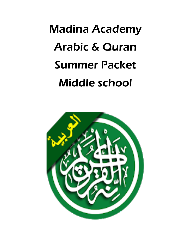## Madina Academy Arabic & Quran Summer Packet Middle school

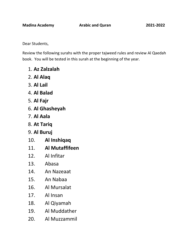Dear Students,

Review the following surahs with the proper tajweed rules and review Al Qaedah book. You will be tested in this surah at the beginning of the year.

- 1. **Az Zalzalah**
- 2. **Al Alaq**
- 3. **Al Lail**
- 4. **Al Balad**
- 5. **Al Fajr**
- 6. **Al Ghasheyah**
- 7. **Al Aala**
- 8. **At Tariq**
- 9. **Al Buruj**
- 10. **Al Inshiqaq**
- 11. **Al Mutaffifeen**
- 12. Al Infitar
- 13. Abasa
- 14. An Nazeaat
- 15. An Nabaa
- 16. Al Mursalat
- 17. Al Insan
- 18. Al Qiyamah
- 19. Al Muddather
- 20. Al Muzzammil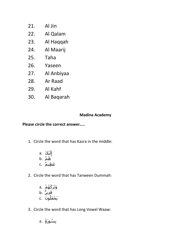- 21. Al Jin
- 22. Al Qalam
- 23. Al Haqqah
- 24. Al Maarij
- 25. Taha
- 26. Yaseen
- 27. Al Anbiyaa
- 28. Ar Raad
- 29. Al Kahf
- 30. Al Baqarah

## **Madina Academy**

## **Please circle the correct answer…..**

- 1. Circle the word that has Kasra in the middle:
	- a. إِلَيۡكَ b. هُمُ c. مَظِيمٌ
- 2. Circle the word that has Tanween Dummah:

َوتََر َك ُه ۡم .a َق ِدي ر .b و َن .c ُ يَ ۡجَعل

3. Circle the word that has Long Vowel Waaw:

$$
a. \ \dot{\check{a}}\tilde{\check{a}}
$$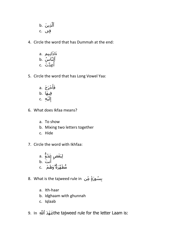ِذي َن .b َّ ٱل فِى .c

4. Circle the word that has Dummah at the end:

ِہم .a َءا َذانِ ٱلَّنا ُس .b ِع َّد ۡت .c ُ أ

- 5. Circle the word that has Long Vowel Yaa:
	- a. وَأَخۡرَجَ فِيهَا .b ۡي ِه .c َ ل ِ إ
- 6. What does Ikfaa means?
	- a. To show
	- b. Mixing two letters together
	- c. Hide
- 7. Circle the word with Ikhfaa:
	- a. فَصْ عَِدُوٌّ ء<br>أنت .b مُّطَهَّرَةٌۖ وَهُمۡ .c
- 8. What is the tajweed rule in بِسُورَةٍ مِّن
	- a. Ith-haar
	- b. Idghaam with ghunnah
	- c. Iqlaab
- ََّّللِ In 9. ٱ دَ هۡعَ the tajweed rule for the letter Laam is: